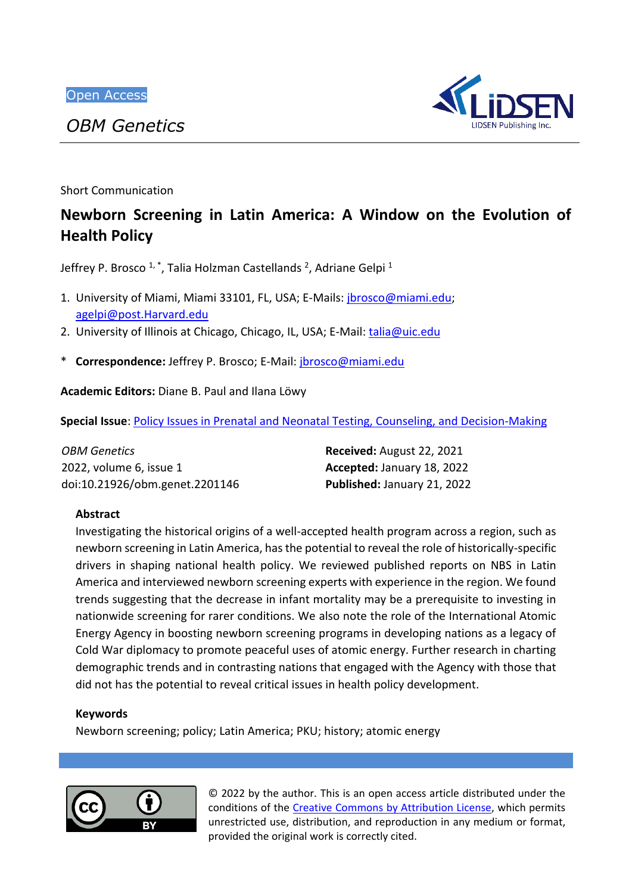

Short Communication

# **Newborn Screening in Latin America: A Window on the Evolution of Health Policy**

Jeffrey P. Brosco  $^{1, *}$ , Talia Holzman Castellands <sup>2</sup>, Adriane Gelpi <sup>1</sup>

- 1. University of Miami, Miami 33101, FL, USA; E-Mails: *jbrosco@miami.edu;* [agelpi@post.Harvard.edu](mailto:agelpi@post.Harvard.edu)
- 2. University of Illinois at Chicago, Chicago, IL, USA; E-Mail: [talia@uic.edu](mailto:talia@uic.edu)
- \* **Correspondence:** Jeffrey P. Brosco; E-Mail: [jbrosco@miami.edu](mailto:jbrosco@miami.edu)

**Academic Editors:** Diane B. Paul and Ilana Löwy

**Special Issue**: [Policy Issues in Prenatal and Neonatal Testing, Counseling, and Decision-Making](https://www.lidsen.com/journals/genetics/genetics-special-issues/policy-prenatal-neonatal-testing-counseling-decision-making)

| OBM Genetics                   | Received: August 22, 2021   |
|--------------------------------|-----------------------------|
| 2022, volume 6, issue 1        | Accepted: January 18, 2022  |
| doi:10.21926/obm.genet.2201146 | Published: January 21, 2022 |

#### **Abstract**

Investigating the historical origins of a well-accepted health program across a region, such as newborn screening in Latin America, has the potential to reveal the role of historically-specific drivers in shaping national health policy. We reviewed published reports on NBS in Latin America and interviewed newborn screening experts with experience in the region. We found trends suggesting that the decrease in infant mortality may be a prerequisite to investing in nationwide screening for rarer conditions. We also note the role of the International Atomic Energy Agency in boosting newborn screening programs in developing nations as a legacy of Cold War diplomacy to promote peaceful uses of atomic energy. Further research in charting demographic trends and in contrasting nations that engaged with the Agency with those that did not has the potential to reveal critical issues in health policy development.

#### **Keywords**

Newborn screening; policy; Latin America; PKU; history; atomic energy



© 2022 by the author. This is an open access article distributed under the conditions of the [Creative Commons by Attribution License,](http://creativecommons.org/licenses/by/4.0/) which permits unrestricted use, distribution, and reproduction in any medium or format, provided the original work is correctly cited.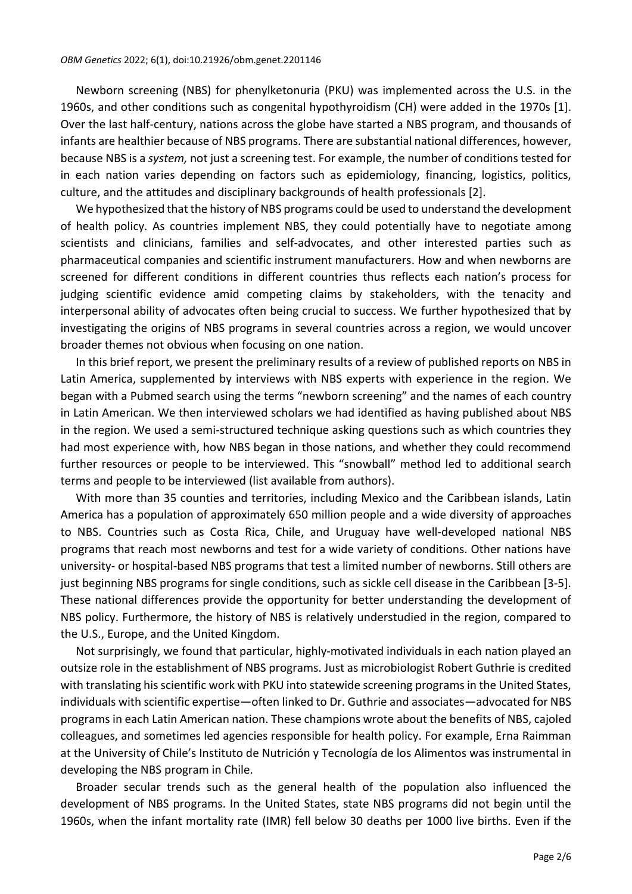Newborn screening (NBS) for phenylketonuria (PKU) was implemented across the U.S. in the 1960s, and other conditions such as congenital hypothyroidism (CH) were added in the 1970s [1]. Over the last half-century, nations across the globe have started a NBS program, and thousands of infants are healthier because of NBS programs. There are substantial national differences, however, because NBS is a *system,* not just a screening test. For example, the number of conditions tested for in each nation varies depending on factors such as epidemiology, financing, logistics, politics, culture, and the attitudes and disciplinary backgrounds of health professionals [2].

We hypothesized that the history of NBS programs could be used to understand the development of health policy. As countries implement NBS, they could potentially have to negotiate among scientists and clinicians, families and self-advocates, and other interested parties such as pharmaceutical companies and scientific instrument manufacturers. How and when newborns are screened for different conditions in different countries thus reflects each nation's process for judging scientific evidence amid competing claims by stakeholders, with the tenacity and interpersonal ability of advocates often being crucial to success. We further hypothesized that by investigating the origins of NBS programs in several countries across a region, we would uncover broader themes not obvious when focusing on one nation.

In this brief report, we present the preliminary results of a review of published reports on NBS in Latin America, supplemented by interviews with NBS experts with experience in the region. We began with a Pubmed search using the terms "newborn screening" and the names of each country in Latin American. We then interviewed scholars we had identified as having published about NBS in the region. We used a semi-structured technique asking questions such as which countries they had most experience with, how NBS began in those nations, and whether they could recommend further resources or people to be interviewed. This "snowball" method led to additional search terms and people to be interviewed (list available from authors).

With more than 35 counties and territories, including Mexico and the Caribbean islands, Latin America has a population of approximately 650 million people and a wide diversity of approaches to NBS. Countries such as Costa Rica, Chile, and Uruguay have well-developed national NBS programs that reach most newborns and test for a wide variety of conditions. Other nations have university- or hospital-based NBS programs that test a limited number of newborns. Still others are just beginning NBS programs for single conditions, such as sickle cell disease in the Caribbean [3-5]. These national differences provide the opportunity for better understanding the development of NBS policy. Furthermore, the history of NBS is relatively understudied in the region, compared to the U.S., Europe, and the United Kingdom.

Not surprisingly, we found that particular, highly-motivated individuals in each nation played an outsize role in the establishment of NBS programs. Just as microbiologist Robert Guthrie is credited with translating his scientific work with PKU into statewide screening programs in the United States, individuals with scientific expertise—often linked to Dr. Guthrie and associates—advocated for NBS programs in each Latin American nation. These champions wrote about the benefits of NBS, cajoled colleagues, and sometimes led agencies responsible for health policy. For example, Erna Raimman at the University of Chile's Instituto de Nutrición y Tecnología de los Alimentos was instrumental in developing the NBS program in Chile.

Broader secular trends such as the general health of the population also influenced the development of NBS programs. In the United States, state NBS programs did not begin until the 1960s, when the infant mortality rate (IMR) fell below 30 deaths per 1000 live births. Even if the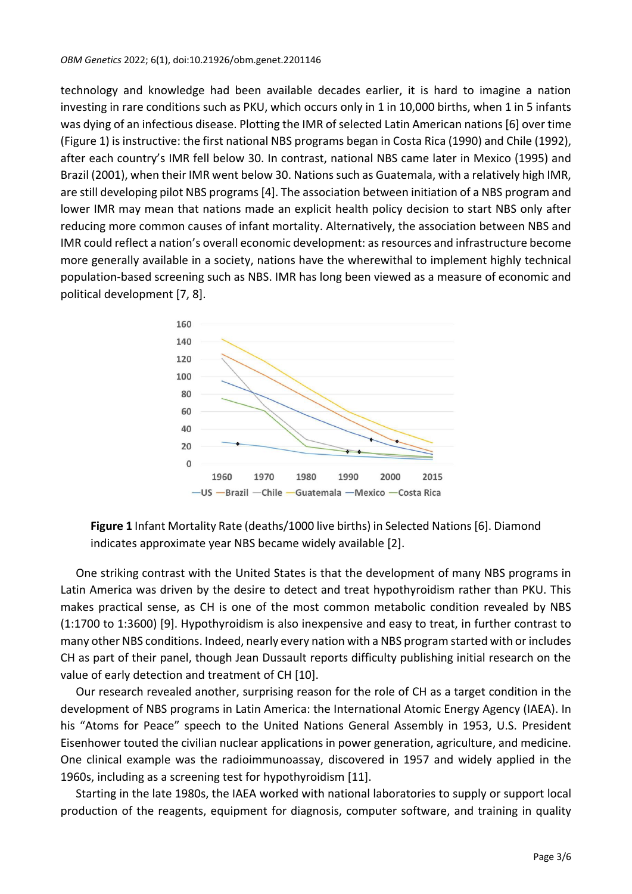technology and knowledge had been available decades earlier, it is hard to imagine a nation investing in rare conditions such as PKU, which occurs only in 1 in 10,000 births, when 1 in 5 infants was dying of an infectious disease. Plotting the IMR of selected Latin American nations [6] over time (Figure 1) is instructive: the first national NBS programs began in Costa Rica (1990) and Chile (1992), after each country's IMR fell below 30. In contrast, national NBS came later in Mexico (1995) and Brazil (2001), when their IMR went below 30. Nations such as Guatemala, with a relatively high IMR, are still developing pilot NBS programs [4]. The association between initiation of a NBS program and lower IMR may mean that nations made an explicit health policy decision to start NBS only after reducing more common causes of infant mortality. Alternatively, the association between NBS and IMR could reflect a nation's overall economic development: as resources and infrastructure become more generally available in a society, nations have the wherewithal to implement highly technical population-based screening such as NBS. IMR has long been viewed as a measure of economic and political development [7, 8].



**Figure 1** Infant Mortality Rate (deaths/1000 live births) in Selected Nations [6]. Diamond indicates approximate year NBS became widely available [2].

One striking contrast with the United States is that the development of many NBS programs in Latin America was driven by the desire to detect and treat hypothyroidism rather than PKU. This makes practical sense, as CH is one of the most common metabolic condition revealed by NBS (1:1700 to 1:3600) [9]. Hypothyroidism is also inexpensive and easy to treat, in further contrast to many other NBS conditions. Indeed, nearly every nation with a NBS program started with or includes CH as part of their panel, though Jean Dussault reports difficulty publishing initial research on the value of early detection and treatment of CH [10].

Our research revealed another, surprising reason for the role of CH as a target condition in the development of NBS programs in Latin America: the International Atomic Energy Agency (IAEA). In his "Atoms for Peace" speech to the United Nations General Assembly in 1953, U.S. President Eisenhower touted the civilian nuclear applications in power generation, agriculture, and medicine. One clinical example was the radioimmunoassay, discovered in 1957 and widely applied in the 1960s, including as a screening test for hypothyroidism [11].

Starting in the late 1980s, the IAEA worked with national laboratories to supply or support local production of the reagents, equipment for diagnosis, computer software, and training in quality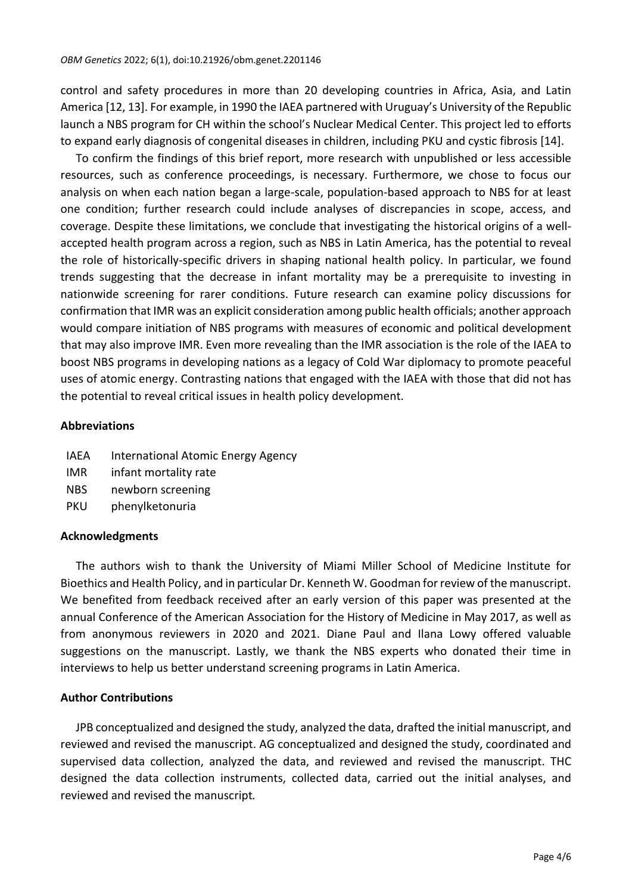control and safety procedures in more than 20 developing countries in Africa, Asia, and Latin America [12, 13]. For example, in 1990 the IAEA partnered with Uruguay's University of the Republic launch a NBS program for CH within the school's Nuclear Medical Center. This project led to efforts to expand early diagnosis of congenital diseases in children, including PKU and cystic fibrosis [14].

To confirm the findings of this brief report, more research with unpublished or less accessible resources, such as conference proceedings, is necessary. Furthermore, we chose to focus our analysis on when each nation began a large-scale, population-based approach to NBS for at least one condition; further research could include analyses of discrepancies in scope, access, and coverage. Despite these limitations, we conclude that investigating the historical origins of a wellaccepted health program across a region, such as NBS in Latin America, has the potential to reveal the role of historically-specific drivers in shaping national health policy. In particular, we found trends suggesting that the decrease in infant mortality may be a prerequisite to investing in nationwide screening for rarer conditions. Future research can examine policy discussions for confirmation that IMR was an explicit consideration among public health officials; another approach would compare initiation of NBS programs with measures of economic and political development that may also improve IMR. Even more revealing than the IMR association is the role of the IAEA to boost NBS programs in developing nations as a legacy of Cold War diplomacy to promote peaceful uses of atomic energy. Contrasting nations that engaged with the IAEA with those that did not has the potential to reveal critical issues in health policy development.

#### **Abbreviations**

- IAEA International Atomic Energy Agency
- IMR infant mortality rate
- NBS newborn screening
- PKU phenylketonuria

#### **Acknowledgments**

The authors wish to thank the University of Miami Miller School of Medicine Institute for Bioethics and Health Policy, and in particular Dr. Kenneth W. Goodman for review of the manuscript. We benefited from feedback received after an early version of this paper was presented at the annual Conference of the American Association for the History of Medicine in May 2017, as well as from anonymous reviewers in 2020 and 2021. Diane Paul and Ilana Lowy offered valuable suggestions on the manuscript. Lastly, we thank the NBS experts who donated their time in interviews to help us better understand screening programs in Latin America.

#### **Author Contributions**

JPB conceptualized and designed the study, analyzed the data, drafted the initial manuscript, and reviewed and revised the manuscript. AG conceptualized and designed the study, coordinated and supervised data collection, analyzed the data, and reviewed and revised the manuscript. THC designed the data collection instruments, collected data, carried out the initial analyses, and reviewed and revised the manuscript*.*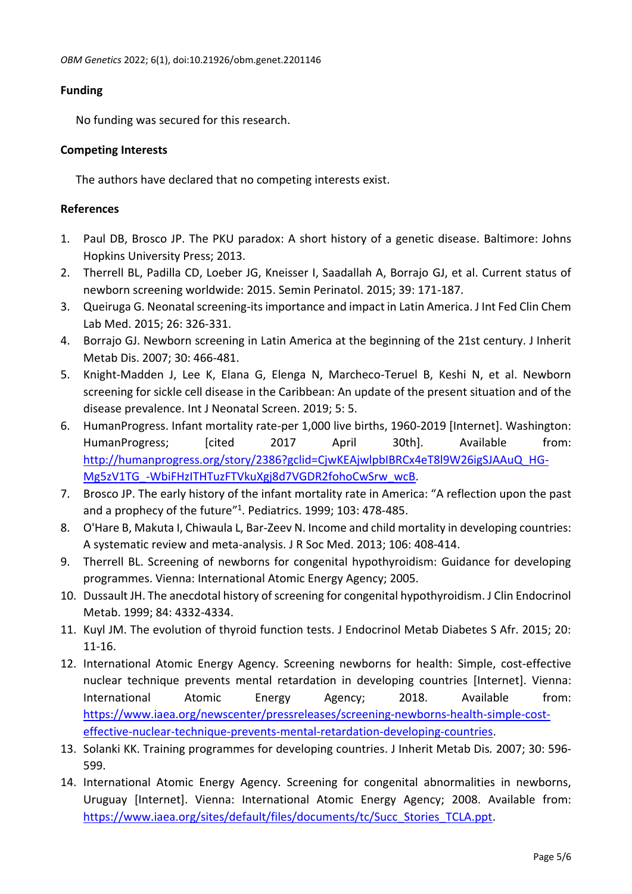## **Funding**

No funding was secured for this research.

## **Competing Interests**

The authors have declared that no competing interests exist.

### **References**

- 1. Paul DB, Brosco JP. The PKU paradox: A short history of a genetic disease. Baltimore: Johns Hopkins University Press; 2013.
- 2. Therrell BL, Padilla CD, Loeber JG, Kneisser I, Saadallah A, Borrajo GJ, et al. Current status of newborn screening worldwide: 2015. Semin Perinatol. 2015; 39: 171-187.
- 3. Queiruga G. Neonatal screening-its importance and impact in Latin America. J Int Fed Clin Chem Lab Med. 2015; 26: 326-331.
- 4. Borrajo GJ. Newborn screening in Latin America at the beginning of the 21st century. J Inherit Metab Dis. 2007; 30: 466-481.
- 5. Knight-Madden J, Lee K, Elana G, Elenga N, Marcheco-Teruel B, Keshi N, et al. Newborn screening for sickle cell disease in the Caribbean: An update of the present situation and of the disease prevalence. Int J Neonatal Screen. 2019; 5: 5.
- 6. HumanProgress. Infant mortality rate-per 1,000 live births, 1960-2019 [Internet]. Washington: HumanProgress; [cited 2017 April 30th]. Available from: [http://humanprogress.org/story/2386?gclid=CjwKEAjwlpbIBRCx4eT8l9W26igSJAAuQ\\_HG-](http://humanprogress.org/story/2386?gclid=CjwKEAjwlpbIBRCx4eT8l9W26igSJAAuQ_HG-Mg5zV1TG_-WbiFHzITHTuzFTVkuXgj8d7VGDR2fohoCwSrw_wcB)[Mg5zV1TG\\_-WbiFHzITHTuzFTVkuXgj8d7VGDR2fohoCwSrw\\_wcB.](http://humanprogress.org/story/2386?gclid=CjwKEAjwlpbIBRCx4eT8l9W26igSJAAuQ_HG-Mg5zV1TG_-WbiFHzITHTuzFTVkuXgj8d7VGDR2fohoCwSrw_wcB)
- 7. Brosco JP. The early history of the infant mortality rate in America: "A reflection upon the past and a prophecy of the future"<sup>1</sup>. Pediatrics. 1999; 103: 478-485.
- 8. O'Hare B, Makuta I, Chiwaula L, Bar-Zeev N. Income and child mortality in developing countries: A systematic review and meta-analysis. J R Soc Med. 2013; 106: 408-414.
- 9. Therrell BL. Screening of newborns for congenital hypothyroidism: Guidance for developing programmes. Vienna: International Atomic Energy Agency; 2005.
- 10. Dussault JH. The anecdotal history of screening for congenital hypothyroidism. J Clin Endocrinol Metab. 1999; 84: 4332-4334.
- 11. Kuyl JM. The evolution of thyroid function tests. J Endocrinol Metab Diabetes S Afr. 2015; 20: 11-16.
- 12. International Atomic Energy Agency. Screening newborns for health: Simple, cost-effective nuclear technique prevents mental retardation in developing countries [Internet]. Vienna: International Atomic Energy Agency; 2018. Available from: [https://www.iaea.org/newscenter/pressreleases/screening-newborns-health-simple-cost](https://www.iaea.org/newscenter/pressreleases/screening-newborns-health-simple-cost-effective-nuclear-technique-prevents-mental-retardation-developing-countries)[effective-nuclear-technique-prevents-mental-retardation-developing-countries.](https://www.iaea.org/newscenter/pressreleases/screening-newborns-health-simple-cost-effective-nuclear-technique-prevents-mental-retardation-developing-countries)
- 13. Solanki KK. Training programmes for developing countries. J Inherit Metab Dis*.* 2007; 30: 596- 599.
- 14. International Atomic Energy Agency. Screening for congenital abnormalities in newborns, Uruguay [Internet]. Vienna: International Atomic Energy Agency; 2008. Available from: [https://www.iaea.org/sites/default/files/documents/tc/Succ\\_Stories\\_TCLA.ppt.](https://www.iaea.org/sites/default/files/documents/tc/Succ_Stories_TCLA.ppt)